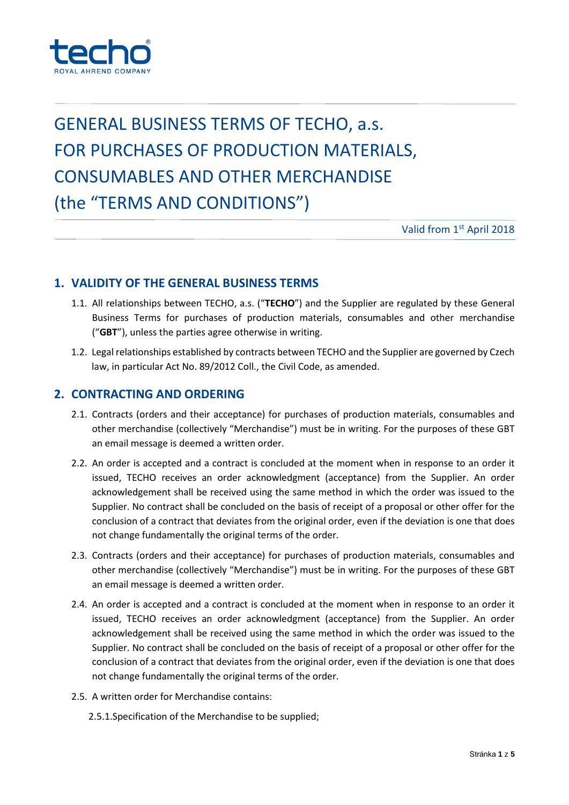

# GENERAL BUSINESS TERMS OF TECHO, a.s. FOR PURCHASES OF PRODUCTION MATERIALS, CONSUMABLES AND OTHER MERCHANDISE (the "TERMS AND CONDITIONS")

Valid from 1st April 2018

### **1. VALIDITY OF THE GENERAL BUSINESS TERMS**

- 1.1. All relationships between TECHO, a.s. ("**TECHO**") and the Supplier are regulated by these General Business Terms for purchases of production materials, consumables and other merchandise ("**GBT**"), unless the parties agree otherwise in writing.
- 1.2. Legal relationships established by contracts between TECHO and the Supplier are governed by Czech law, in particular Act No. 89/2012 Coll., the Civil Code, as amended.

#### **2. CONTRACTING AND ORDERING**

- 2.1. Contracts (orders and their acceptance) for purchases of production materials, consumables and other merchandise (collectively "Merchandise") must be in writing. For the purposes of these GBT an email message is deemed a written order.
- 2.2. An order is accepted and a contract is concluded at the moment when in response to an order it issued, TECHO receives an order acknowledgment (acceptance) from the Supplier. An order acknowledgement shall be received using the same method in which the order was issued to the Supplier. No contract shall be concluded on the basis of receipt of a proposal or other offer for the conclusion of a contract that deviates from the original order, even if the deviation is one that does not change fundamentally the original terms of the order.
- 2.3. Contracts (orders and their acceptance) for purchases of production materials, consumables and other merchandise (collectively "Merchandise") must be in writing. For the purposes of these GBT an email message is deemed a written order.
- 2.4. An order is accepted and a contract is concluded at the moment when in response to an order it issued, TECHO receives an order acknowledgment (acceptance) from the Supplier. An order acknowledgement shall be received using the same method in which the order was issued to the Supplier. No contract shall be concluded on the basis of receipt of a proposal or other offer for the conclusion of a contract that deviates from the original order, even if the deviation is one that does not change fundamentally the original terms of the order.
- 2.5. A written order for Merchandise contains:
	- 2.5.1.Specification of the Merchandise to be supplied;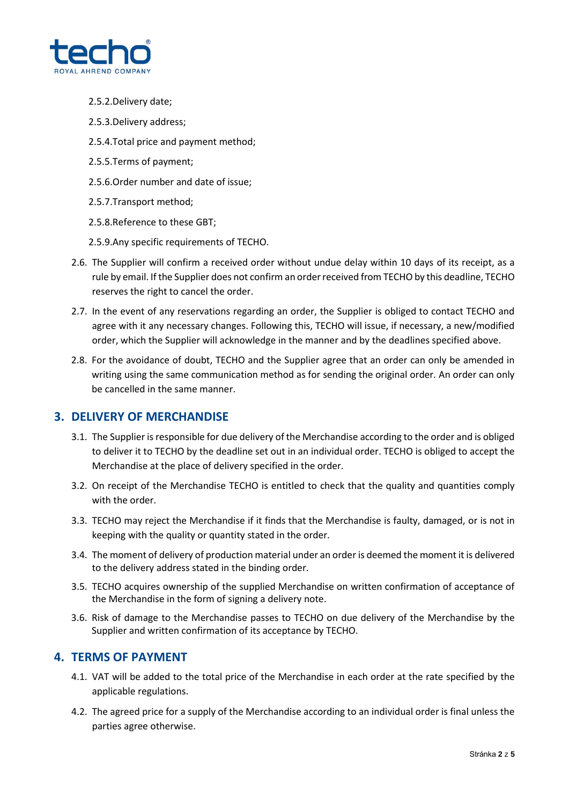

- 2.5.2.Delivery date;
- 2.5.3.Delivery address;
- 2.5.4.Total price and payment method;
- 2.5.5.Terms of payment;
- 2.5.6.Order number and date of issue;
- 2.5.7.Transport method;
- 2.5.8.Reference to these GBT;
- 2.5.9.Any specific requirements of TECHO.
- 2.6. The Supplier will confirm a received order without undue delay within 10 days of its receipt, as a rule by email. If the Supplier does not confirm an order received from TECHO by this deadline, TECHO reserves the right to cancel the order.
- 2.7. In the event of any reservations regarding an order, the Supplier is obliged to contact TECHO and agree with it any necessary changes. Following this, TECHO will issue, if necessary, a new/modified order, which the Supplier will acknowledge in the manner and by the deadlines specified above.
- 2.8. For the avoidance of doubt, TECHO and the Supplier agree that an order can only be amended in writing using the same communication method as for sending the original order. An order can only be cancelled in the same manner.

### **3. DELIVERY OF MERCHANDISE**

- 3.1. The Supplier is responsible for due delivery of the Merchandise according to the order and is obliged to deliver it to TECHO by the deadline set out in an individual order. TECHO is obliged to accept the Merchandise at the place of delivery specified in the order.
- 3.2. On receipt of the Merchandise TECHO is entitled to check that the quality and quantities comply with the order.
- 3.3. TECHO may reject the Merchandise if it finds that the Merchandise is faulty, damaged, or is not in keeping with the quality or quantity stated in the order.
- 3.4. The moment of delivery of production material under an order is deemed the moment it is delivered to the delivery address stated in the binding order.
- 3.5. TECHO acquires ownership of the supplied Merchandise on written confirmation of acceptance of the Merchandise in the form of signing a delivery note.
- 3.6. Risk of damage to the Merchandise passes to TECHO on due delivery of the Merchandise by the Supplier and written confirmation of its acceptance by TECHO.

## **4. TERMS OF PAYMENT**

- 4.1. VAT will be added to the total price of the Merchandise in each order at the rate specified by the applicable regulations.
- 4.2. The agreed price for a supply of the Merchandise according to an individual order is final unless the parties agree otherwise.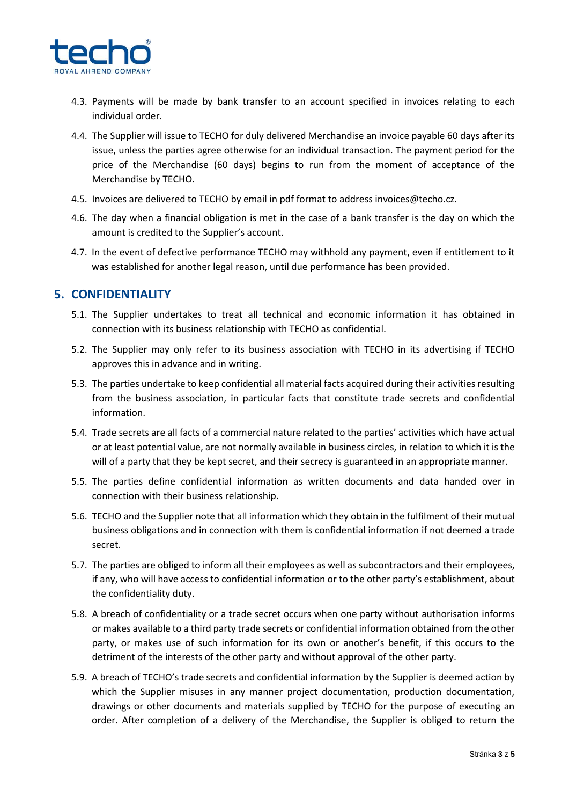

- 4.3. Payments will be made by bank transfer to an account specified in invoices relating to each individual order.
- 4.4. The Supplier will issue to TECHO for duly delivered Merchandise an invoice payable 60 days after its issue, unless the parties agree otherwise for an individual transaction. The payment period for the price of the Merchandise (60 days) begins to run from the moment of acceptance of the Merchandise by TECHO.
- 4.5. Invoices are delivered to TECHO by email in pdf format to address invoices@techo.cz.
- 4.6. The day when a financial obligation is met in the case of a bank transfer is the day on which the amount is credited to the Supplier's account.
- 4.7. In the event of defective performance TECHO may withhold any payment, even if entitlement to it was established for another legal reason, until due performance has been provided.

### **5. CONFIDENTIALITY**

- 5.1. The Supplier undertakes to treat all technical and economic information it has obtained in connection with its business relationship with TECHO as confidential.
- 5.2. The Supplier may only refer to its business association with TECHO in its advertising if TECHO approves this in advance and in writing.
- 5.3. The parties undertake to keep confidential all material facts acquired during their activities resulting from the business association, in particular facts that constitute trade secrets and confidential information.
- 5.4. Trade secrets are all facts of a commercial nature related to the parties' activities which have actual or at least potential value, are not normally available in business circles, in relation to which it is the will of a party that they be kept secret, and their secrecy is guaranteed in an appropriate manner.
- 5.5. The parties define confidential information as written documents and data handed over in connection with their business relationship.
- 5.6. TECHO and the Supplier note that all information which they obtain in the fulfilment of their mutual business obligations and in connection with them is confidential information if not deemed a trade secret.
- 5.7. The parties are obliged to inform all their employees as well as subcontractors and their employees, if any, who will have access to confidential information or to the other party's establishment, about the confidentiality duty.
- 5.8. A breach of confidentiality or a trade secret occurs when one party without authorisation informs or makes available to a third party trade secrets or confidential information obtained from the other party, or makes use of such information for its own or another's benefit, if this occurs to the detriment of the interests of the other party and without approval of the other party.
- 5.9. A breach of TECHO's trade secrets and confidential information by the Supplier is deemed action by which the Supplier misuses in any manner project documentation, production documentation, drawings or other documents and materials supplied by TECHO for the purpose of executing an order. After completion of a delivery of the Merchandise, the Supplier is obliged to return the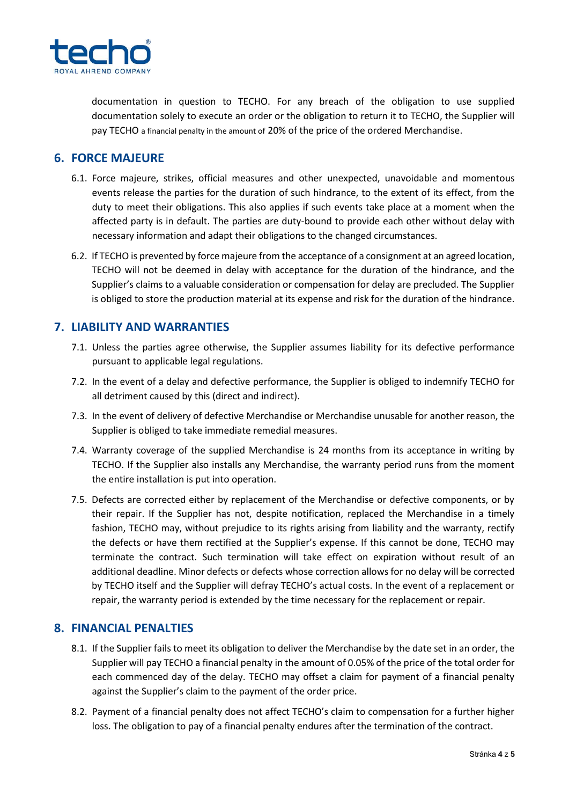

documentation in question to TECHO. For any breach of the obligation to use supplied documentation solely to execute an order or the obligation to return it to TECHO, the Supplier will pay TECHO a financial penalty in the amount of 20% of the price of the ordered Merchandise.

### **6. FORCE MAJEURE**

- 6.1. Force majeure, strikes, official measures and other unexpected, unavoidable and momentous events release the parties for the duration of such hindrance, to the extent of its effect, from the duty to meet their obligations. This also applies if such events take place at a moment when the affected party is in default. The parties are duty-bound to provide each other without delay with necessary information and adapt their obligations to the changed circumstances.
- 6.2. If TECHO is prevented by force majeure from the acceptance of a consignment at an agreed location, TECHO will not be deemed in delay with acceptance for the duration of the hindrance, and the Supplier's claims to a valuable consideration or compensation for delay are precluded. The Supplier is obliged to store the production material at its expense and risk for the duration of the hindrance.

### **7. LIABILITY AND WARRANTIES**

- 7.1. Unless the parties agree otherwise, the Supplier assumes liability for its defective performance pursuant to applicable legal regulations.
- 7.2. In the event of a delay and defective performance, the Supplier is obliged to indemnify TECHO for all detriment caused by this (direct and indirect).
- 7.3. In the event of delivery of defective Merchandise or Merchandise unusable for another reason, the Supplier is obliged to take immediate remedial measures.
- 7.4. Warranty coverage of the supplied Merchandise is 24 months from its acceptance in writing by TECHO. If the Supplier also installs any Merchandise, the warranty period runs from the moment the entire installation is put into operation.
- 7.5. Defects are corrected either by replacement of the Merchandise or defective components, or by their repair. If the Supplier has not, despite notification, replaced the Merchandise in a timely fashion, TECHO may, without prejudice to its rights arising from liability and the warranty, rectify the defects or have them rectified at the Supplier's expense. If this cannot be done, TECHO may terminate the contract. Such termination will take effect on expiration without result of an additional deadline. Minor defects or defects whose correction allows for no delay will be corrected by TECHO itself and the Supplier will defray TECHO's actual costs. In the event of a replacement or repair, the warranty period is extended by the time necessary for the replacement or repair.

#### **8. FINANCIAL PENALTIES**

- 8.1. If the Supplier fails to meet its obligation to deliver the Merchandise by the date set in an order, the Supplier will pay TECHO a financial penalty in the amount of 0.05% of the price of the total order for each commenced day of the delay. TECHO may offset a claim for payment of a financial penalty against the Supplier's claim to the payment of the order price.
- 8.2. Payment of a financial penalty does not affect TECHO's claim to compensation for a further higher loss. The obligation to pay of a financial penalty endures after the termination of the contract.